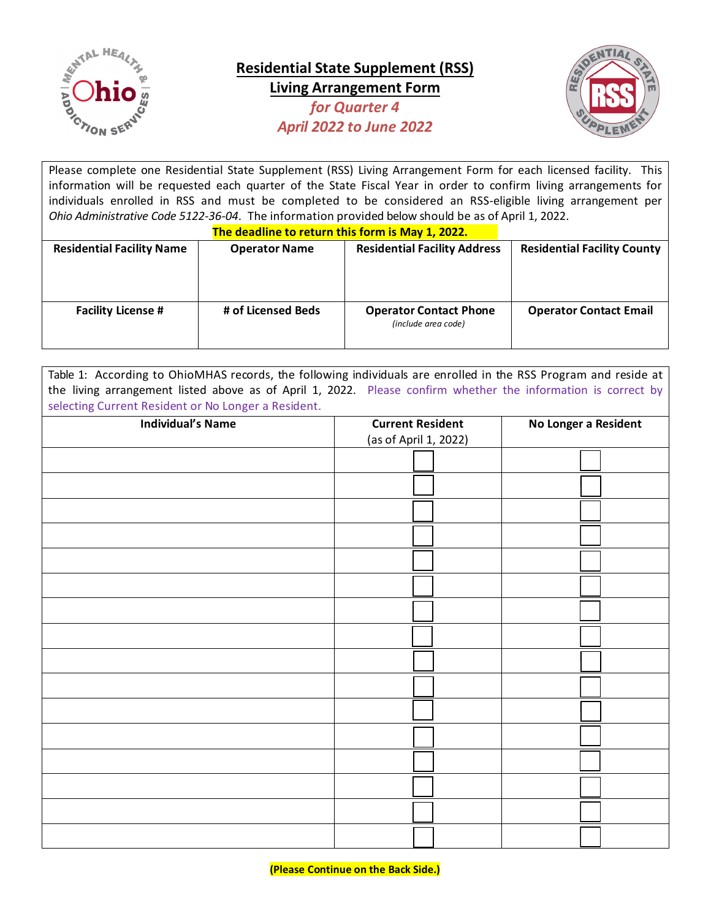

**Residential State Supplement (RSS) Living Arrangement Form** *for Quarter 4 April 2022 to June 2022*



Please complete one Residential State Supplement (RSS) Living Arrangement Form for each licensed facility. This information will be requested each quarter of the State Fiscal Year in order to confirm living arrangements for individuals enrolled in RSS and must be completed to be considered an RSS-eligible living arrangement per *Ohio Administrative Code 5122-36-04*. The information provided below should be as of April 1, 2022.

| The deadline to return this form is May 1, 2022. |                      |                                                      |                                    |  |  |  |
|--------------------------------------------------|----------------------|------------------------------------------------------|------------------------------------|--|--|--|
| <b>Residential Facility Name</b>                 | <b>Operator Name</b> | <b>Residential Facility Address</b>                  | <b>Residential Facility County</b> |  |  |  |
| <b>Facility License #</b>                        | # of Licensed Beds   | <b>Operator Contact Phone</b><br>(include area code) | <b>Operator Contact Email</b>      |  |  |  |

Table 1: According to OhioMHAS records, the following individuals are enrolled in the RSS Program and reside at the living arrangement listed above as of April 1, 2022. Please confirm whether the information is correct by selecting Current Resident or No Longer a Resident.

| <b>Individual's Name</b> | <b>Current Resident</b> | No Longer a Resident |  |
|--------------------------|-------------------------|----------------------|--|
|                          | (as of April 1, 2022)   |                      |  |
|                          |                         |                      |  |
|                          |                         |                      |  |
|                          |                         |                      |  |
|                          |                         |                      |  |
|                          |                         |                      |  |
|                          |                         |                      |  |
|                          |                         |                      |  |
|                          |                         |                      |  |
|                          |                         |                      |  |
|                          |                         |                      |  |
|                          |                         |                      |  |
|                          |                         |                      |  |
|                          |                         |                      |  |
|                          |                         |                      |  |
|                          |                         |                      |  |
|                          |                         |                      |  |